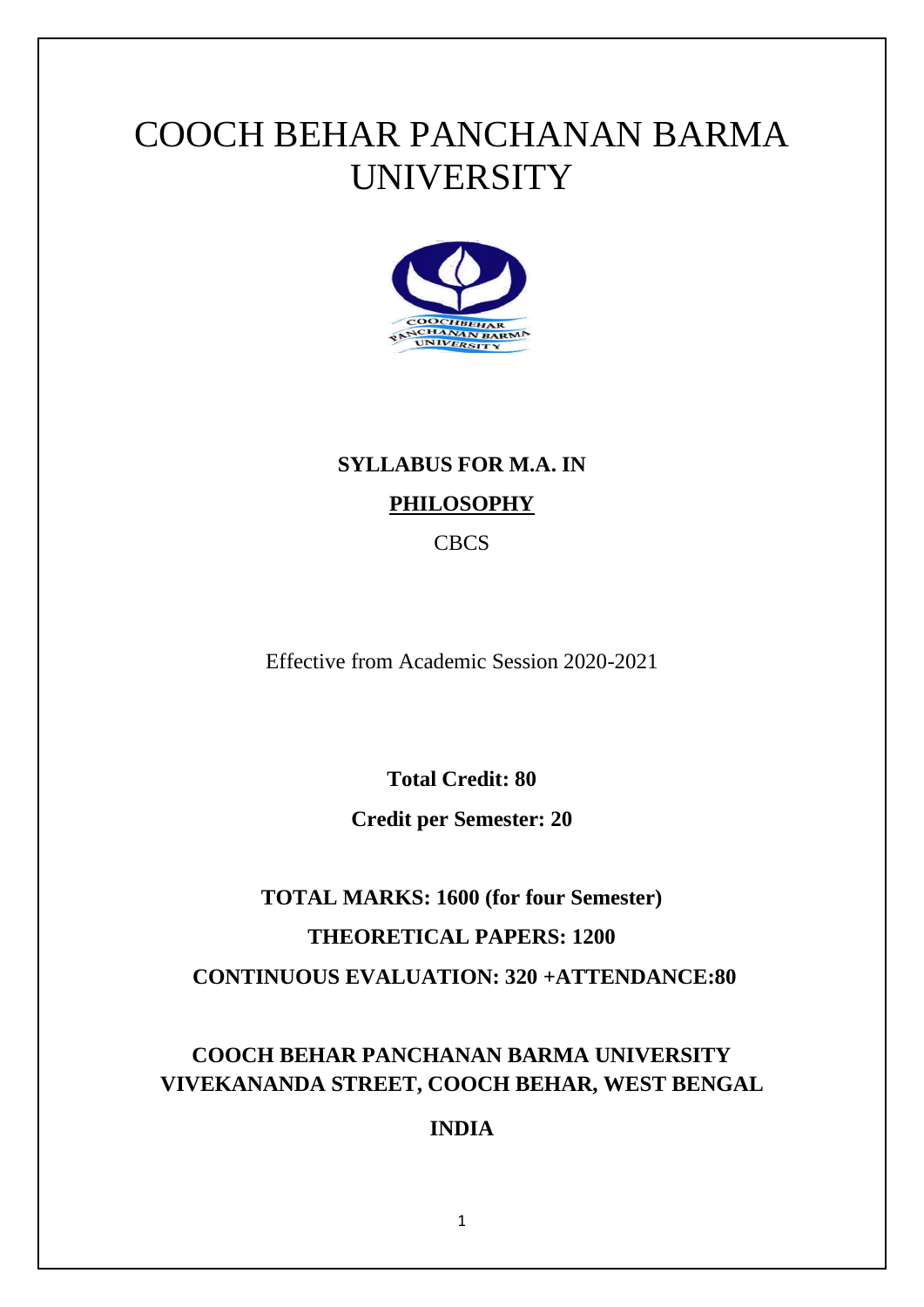# COOCH BEHAR PANCHANAN BARMA **UNIVERSITY**



# **SYLLABUS FOR M.A. IN PHILOSOPHY**

CBCS

Effective from Academic Session 2020-2021

**Total Credit: 80**

**Credit per Semester: 20**

# **TOTAL MARKS: 1600 (for four Semester) THEORETICAL PAPERS: 1200 CONTINUOUS EVALUATION: 320 +ATTENDANCE:80**

# **COOCH BEHAR PANCHANAN BARMA UNIVERSITY VIVEKANANDA STREET, COOCH BEHAR, WEST BENGAL**

## **INDIA**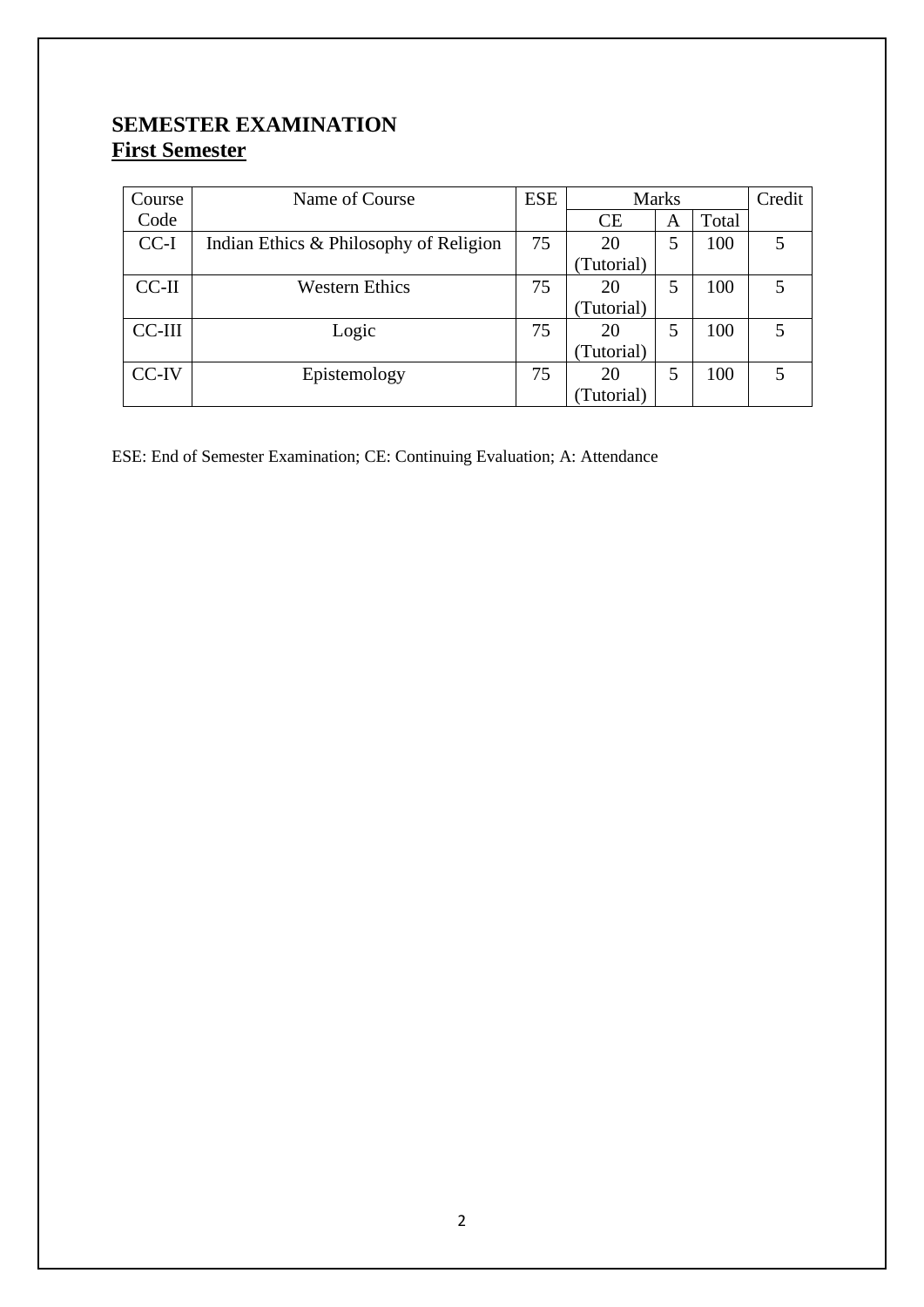## **SEMESTER EXAMINATION First Semester**

| Course  | Name of Course                         | <b>ESE</b> | <b>Marks</b> |   | Credit |   |
|---------|----------------------------------------|------------|--------------|---|--------|---|
| Code    |                                        |            | CE           | A | Total  |   |
| $CC-I$  | Indian Ethics & Philosophy of Religion | 75         | 20           |   | 100    | 5 |
|         |                                        |            | (Tutorial)   |   |        |   |
| $CC-II$ | <b>Western Ethics</b>                  | 75         | 20           | 5 | 100    | 5 |
|         |                                        |            | (Tutorial)   |   |        |   |
| CC-III  | Logic                                  | 75         | 20           | 5 | 100    | 5 |
|         |                                        |            | (Tutorial)   |   |        |   |
| CC-IV   | Epistemology                           | 75         | 20           | 5 | 100    | 5 |
|         |                                        |            | (Tutorial)   |   |        |   |

ESE: End of Semester Examination; CE: Continuing Evaluation; A: Attendance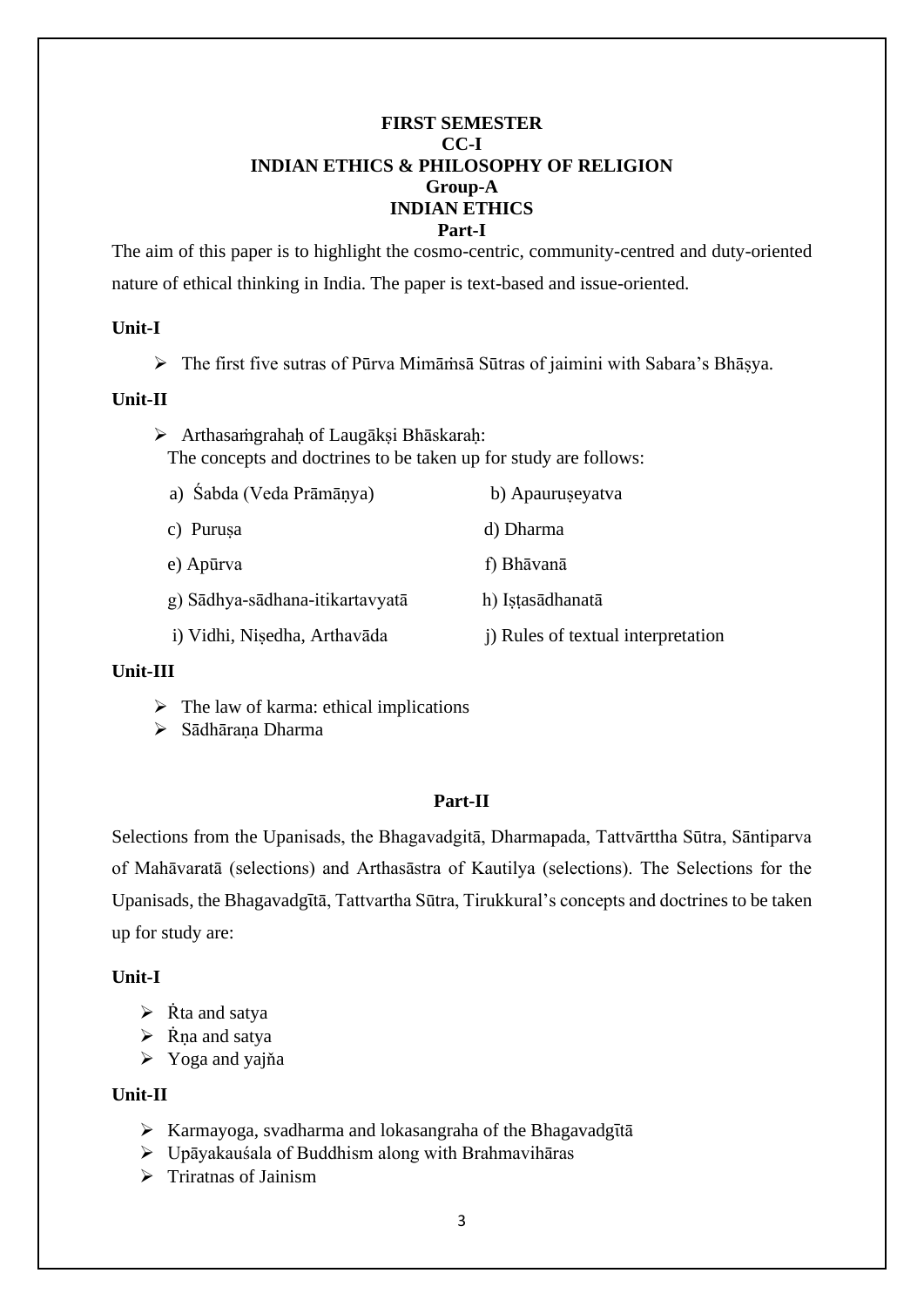#### **FIRST SEMESTER CC-I INDIAN ETHICS & PHILOSOPHY OF RELIGION Group-A INDIAN ETHICS Part-I**

The aim of this paper is to highlight the cosmo-centric, community-centred and duty-oriented nature of ethical thinking in India. The paper is text-based and issue-oriented.

#### **Unit-I**

➢ The first five sutras of Pūrva Mimāṁsā Sūtras of jaimini with Sabara's Bhāṣya.

#### **Unit-II**

➢ Arthasaṁgrahaḥ of Laugākṣi Bhāskaraḥ: The concepts and doctrines to be taken up for study are follows:

| a) Sabda (Veda Prāmāņya)        | b) Apauruseyatva                   |  |  |
|---------------------------------|------------------------------------|--|--|
| c) Purusa                       | d) Dharma                          |  |  |
| e) Apūrva                       | f) Bhāvanā                         |  |  |
| g) Sādhya-sādhana-itikartavyatā | h) Istasādhanatā                   |  |  |
| i) Vidhi, Nisedha, Arthavāda    | i) Rules of textual interpretation |  |  |
|                                 |                                    |  |  |

#### **Unit-III**

- $\triangleright$  The law of karma: ethical implications
- ➢ Sādhāraṇa Dharma

## **Part-II**

Selections from the Upanisads, the Bhagavadgitā, Dharmapada, Tattvārttha Sūtra, Sāntiparva of Mahāvaratā (selections) and Arthasāstra of Kautilya (selections). The Selections for the Upanisads, the Bhagavadgītā, Tattvartha Sūtra, Tirukkural's concepts and doctrines to be taken up for study are:

## **Unit-I**

- $\triangleright$  Rta and satya
- $\triangleright$  Rna and satya
- ➢ Yoga and yajňa

## **Unit-II**

- $\triangleright$  Karmayoga, svadharma and lokasangraha of the Bhagavadgītā
- ➢ Upāyakauśala of Buddhism along with Brahmavihāras
- ➢ Triratnas of Jainism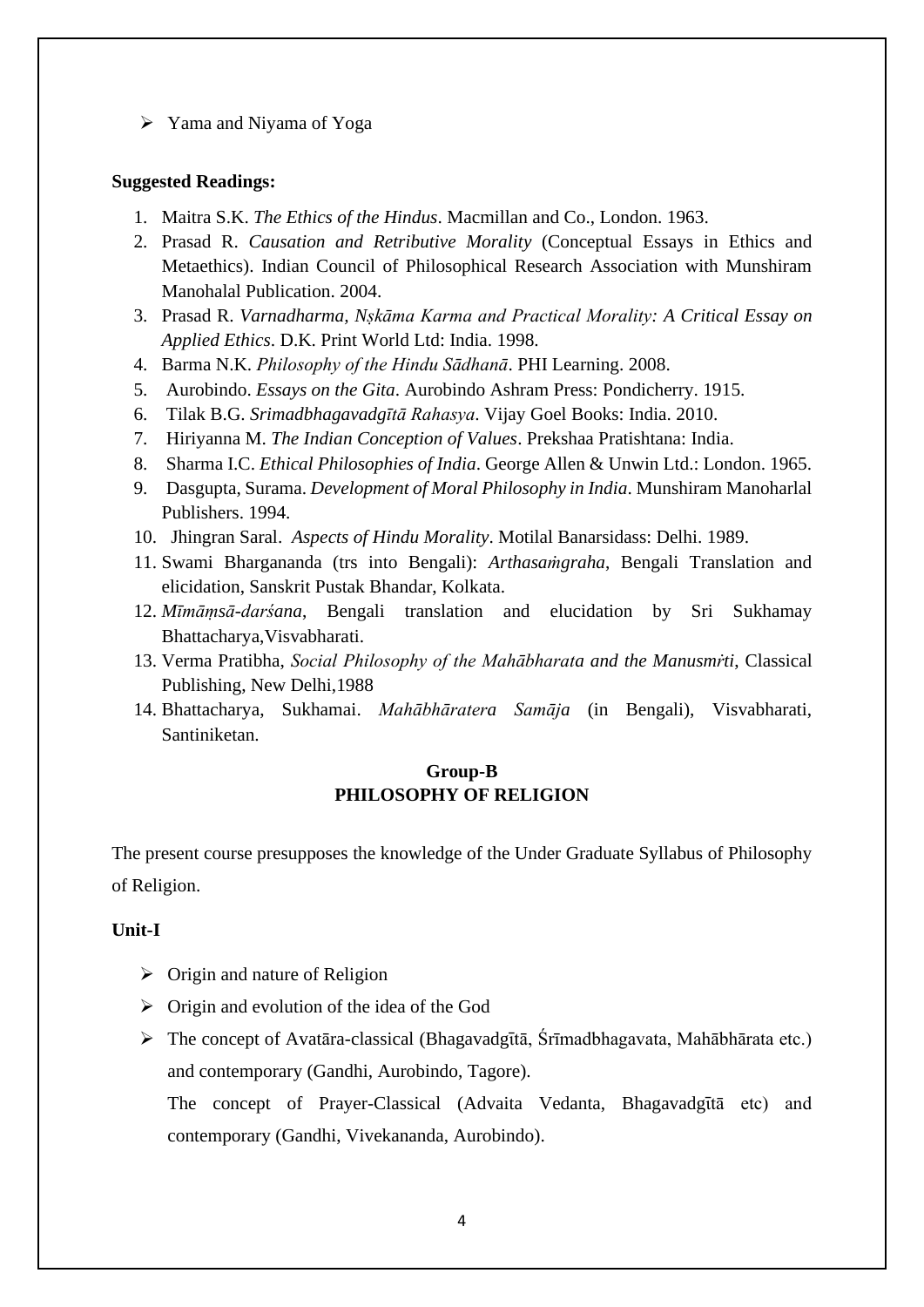➢ Yama and Niyama of Yoga

#### **Suggested Readings:**

- 1. Maitra S.K. *The Ethics of the Hindus*. Macmillan and Co., London. 1963.
- 2. Prasad R. *Causation and Retributive Morality* (Conceptual Essays in Ethics and Metaethics). Indian Council of Philosophical Research Association with Munshiram Manohalal Publication. 2004.
- 3. Prasad R. *Varnadharma, Nṣkāma Karma and Practical Morality: A Critical Essay on Applied Ethics*. D.K. Print World Ltd: India. 1998.
- 4. Barma N.K. *Philosophy of the Hindu Sādhanā*. PHI Learning. 2008.
- 5. Aurobindo. *Essays on the Gita*. Aurobindo Ashram Press: Pondicherry. 1915.
- 6. Tilak B.G. *Srimadbhagavadgῑtā Rahasya*. Vijay Goel Books: India. 2010.
- 7. Hiriyanna M. *The Indian Conception of Values*. Prekshaa Pratishtana: India.
- 8. Sharma I.C. *Ethical Philosophies of India*. George Allen & Unwin Ltd.: London. 1965.
- 9. Dasgupta, Surama. *Development of Moral Philosophy in India*. Munshiram Manoharlal Publishers. 1994.
- 10. Jhingran Saral. *Aspects of Hindu Morality*. Motilal Banarsidass: Delhi. 1989.
- 11. Swami Bhargananda (trs into Bengali): *Arthasaṁgraha*, Bengali Translation and elicidation, Sanskrit Pustak Bhandar, Kolkata.
- 12. *Mīmāṃsā-darśana*, Bengali translation and elucidation by Sri Sukhamay Bhattacharya,Visvabharati.
- 13. Verma Pratibha, *Social Philosophy of the Mahābharata and the Manusmṙti*, Classical Publishing, New Delhi,1988
- 14. Bhattacharya, Sukhamai. *Mahābhāratera Samāja* (in Bengali), Visvabharati, Santiniketan.

## **Group-B PHILOSOPHY OF RELIGION**

The present course presupposes the knowledge of the Under Graduate Syllabus of Philosophy of Religion.

#### **Unit-I**

- $\triangleright$  Origin and nature of Religion
- ➢ Origin and evolution of the idea of the God
- $\triangleright$  The concept of Avatāra-classical (Bhagavadgītā, Śrīmadbhagavata, Mahābhārata etc.) and contemporary (Gandhi, Aurobindo, Tagore).

The concept of Prayer-Classical (Advaita Vedanta, Bhagavadgītā etc) and contemporary (Gandhi, Vivekananda, Aurobindo).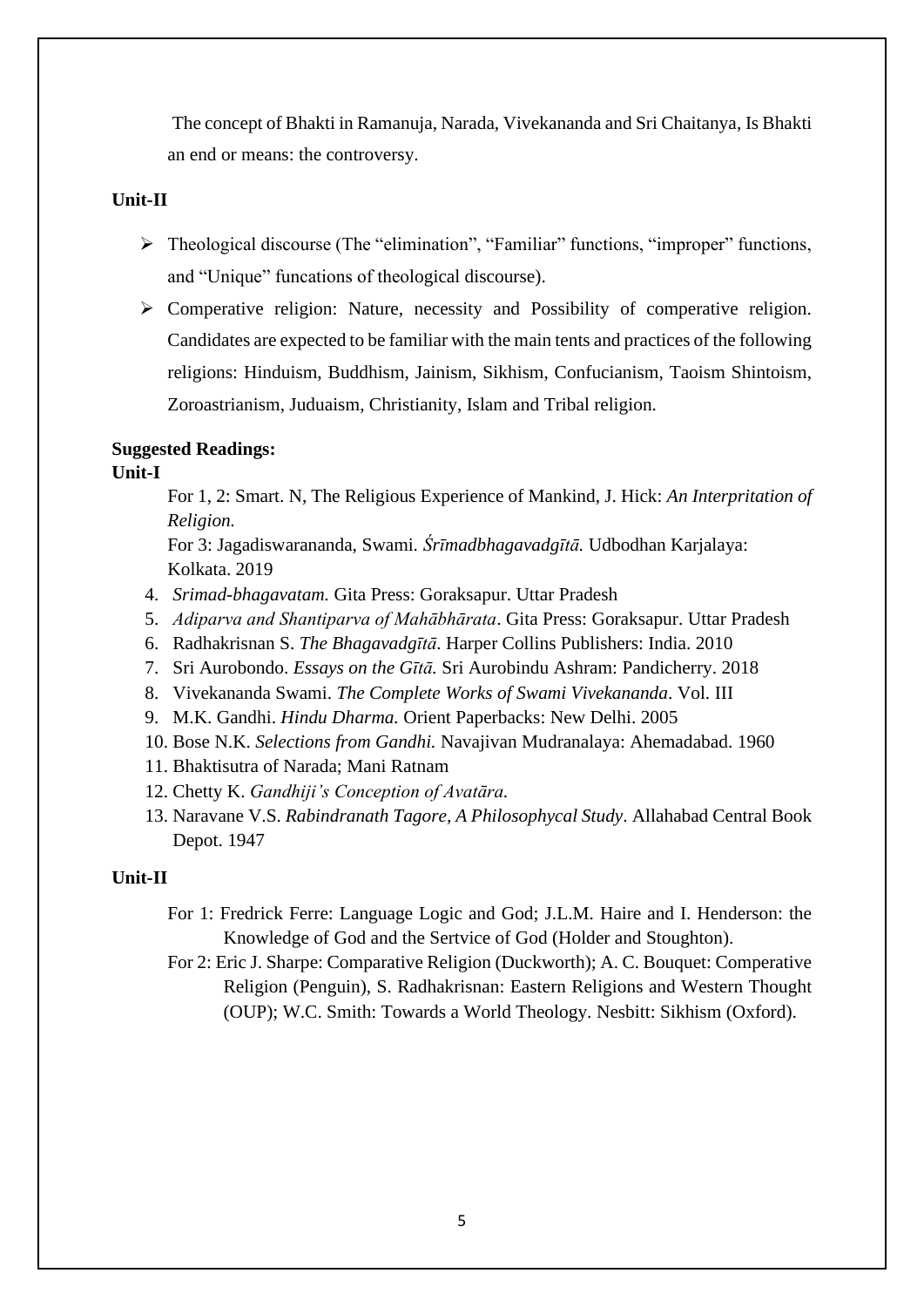The concept of Bhakti in Ramanuja, Narada, Vivekananda and Sri Chaitanya, Is Bhakti an end or means: the controversy.

#### **Unit-II**

- ➢ Theological discourse (The "elimination", "Familiar" functions, "improper" functions, and "Unique" funcations of theological discourse).
- ➢ Comperative religion: Nature, necessity and Possibility of comperative religion. Candidates are expected to be familiar with the main tents and practices of the following religions: Hinduism, Buddhism, Jainism, Sikhism, Confucianism, Taoism Shintoism, Zoroastrianism, Juduaism, Christianity, Islam and Tribal religion.

#### **Suggested Readings:**

## **Unit-I**

For 1, 2: Smart. N, The Religious Experience of Mankind, J. Hick: *An Interpritation of Religion.*

For 3: Jagadiswarananda, Swami*. Śrīmadbhagavadgītā.* Udbodhan Karjalaya: Kolkata. 2019

- 4. *Srimad-bhagavatam.* Gita Press: Goraksapur. Uttar Pradesh
- 5. *Adiparva and Shantiparva of Mahābhārata*. Gita Press: Goraksapur. Uttar Pradesh
- 6. Radhakrisnan S. *The Bhagavadgῑtā*. Harper Collins Publishers: India. 2010
- 7. Sri Aurobondo. *Essays on the Gītā.* Sri Aurobindu Ashram: Pandicherry. 2018
- 8. Vivekananda Swami. *The Complete Works of Swami Vivekananda*. Vol. III
- 9. M.K. Gandhi. *Hindu Dharma.* Orient Paperbacks: New Delhi. 2005
- 10. Bose N.K. *Selections from Gandhi.* Navajivan Mudranalaya: Ahemadabad. 1960
- 11. Bhaktisutra of Narada; Mani Ratnam
- 12. Chetty K. *Gandhiji's Conception of Avatāra.*
- 13. Naravane V.S. *Rabindranath Tagore, A Philosophycal Study*. Allahabad Central Book Depot. 1947

#### **Unit-II**

- For 1: Fredrick Ferre: Language Logic and God; J.L.M. Haire and I. Henderson: the Knowledge of God and the Sertvice of God (Holder and Stoughton).
- For 2: Eric J. Sharpe: Comparative Religion (Duckworth); A. C. Bouquet: Comperative Religion (Penguin), S. Radhakrisnan: Eastern Religions and Western Thought (OUP); W.C. Smith: Towards a World Theology. Nesbitt: Sikhism (Oxford).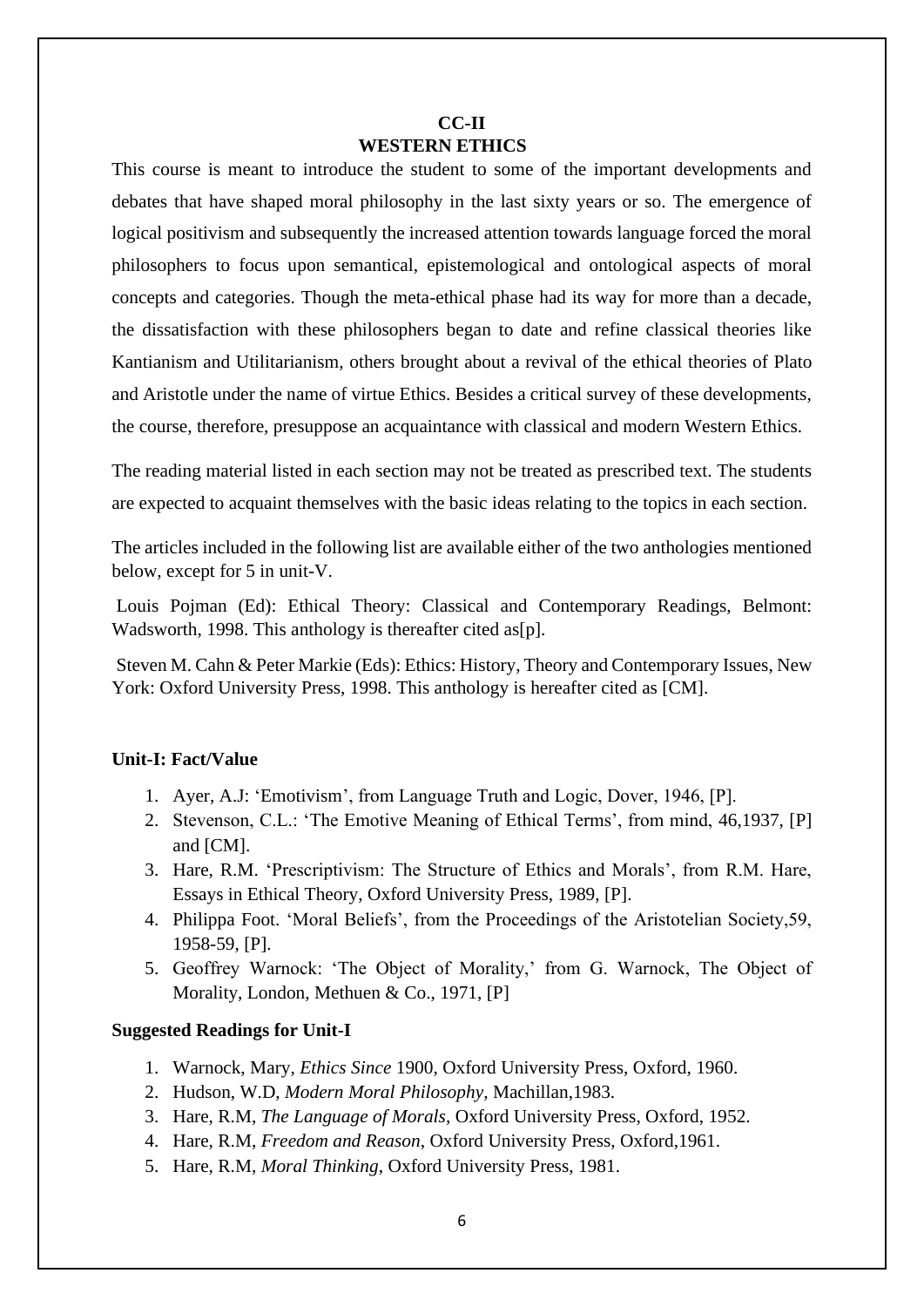## **CC-II WESTERN ETHICS**

This course is meant to introduce the student to some of the important developments and debates that have shaped moral philosophy in the last sixty years or so. The emergence of logical positivism and subsequently the increased attention towards language forced the moral philosophers to focus upon semantical, epistemological and ontological aspects of moral concepts and categories. Though the meta-ethical phase had its way for more than a decade, the dissatisfaction with these philosophers began to date and refine classical theories like Kantianism and Utilitarianism, others brought about a revival of the ethical theories of Plato and Aristotle under the name of virtue Ethics. Besides a critical survey of these developments, the course, therefore, presuppose an acquaintance with classical and modern Western Ethics.

The reading material listed in each section may not be treated as prescribed text. The students are expected to acquaint themselves with the basic ideas relating to the topics in each section.

The articles included in the following list are available either of the two anthologies mentioned below, except for 5 in unit-V.

Louis Pojman (Ed): Ethical Theory: Classical and Contemporary Readings, Belmont: Wadsworth, 1998. This anthology is thereafter cited as[p].

Steven M. Cahn & Peter Markie (Eds): Ethics: History, Theory and Contemporary Issues, New York: Oxford University Press, 1998. This anthology is hereafter cited as [CM].

## **Unit-I: Fact/Value**

- 1. Ayer, A.J: 'Emotivism', from Language Truth and Logic, Dover, 1946, [P].
- 2. Stevenson, C.L.: 'The Emotive Meaning of Ethical Terms', from mind, 46,1937, [P] and [CM].
- 3. Hare, R.M. 'Prescriptivism: The Structure of Ethics and Morals', from R.M. Hare, Essays in Ethical Theory, Oxford University Press, 1989, [P].
- 4. Philippa Foot. 'Moral Beliefs', from the Proceedings of the Aristotelian Society,59, 1958-59, [P].
- 5. Geoffrey Warnock: 'The Object of Morality,' from G. Warnock, The Object of Morality, London, Methuen & Co., 1971, [P]

#### **Suggested Readings for Unit-I**

- 1. Warnock, Mary, *Ethics Since* 1900, Oxford University Press, Oxford, 1960.
- 2. Hudson, W.D, *Modern Moral Philosophy*, Machillan,1983.
- 3. Hare, R.M, *The Language of Morals*, Oxford University Press, Oxford, 1952.
- 4. Hare, R.M, *Freedom and Reason*, Oxford University Press, Oxford,1961.
- 5. Hare, R.M, *Moral Thinking*, Oxford University Press, 1981.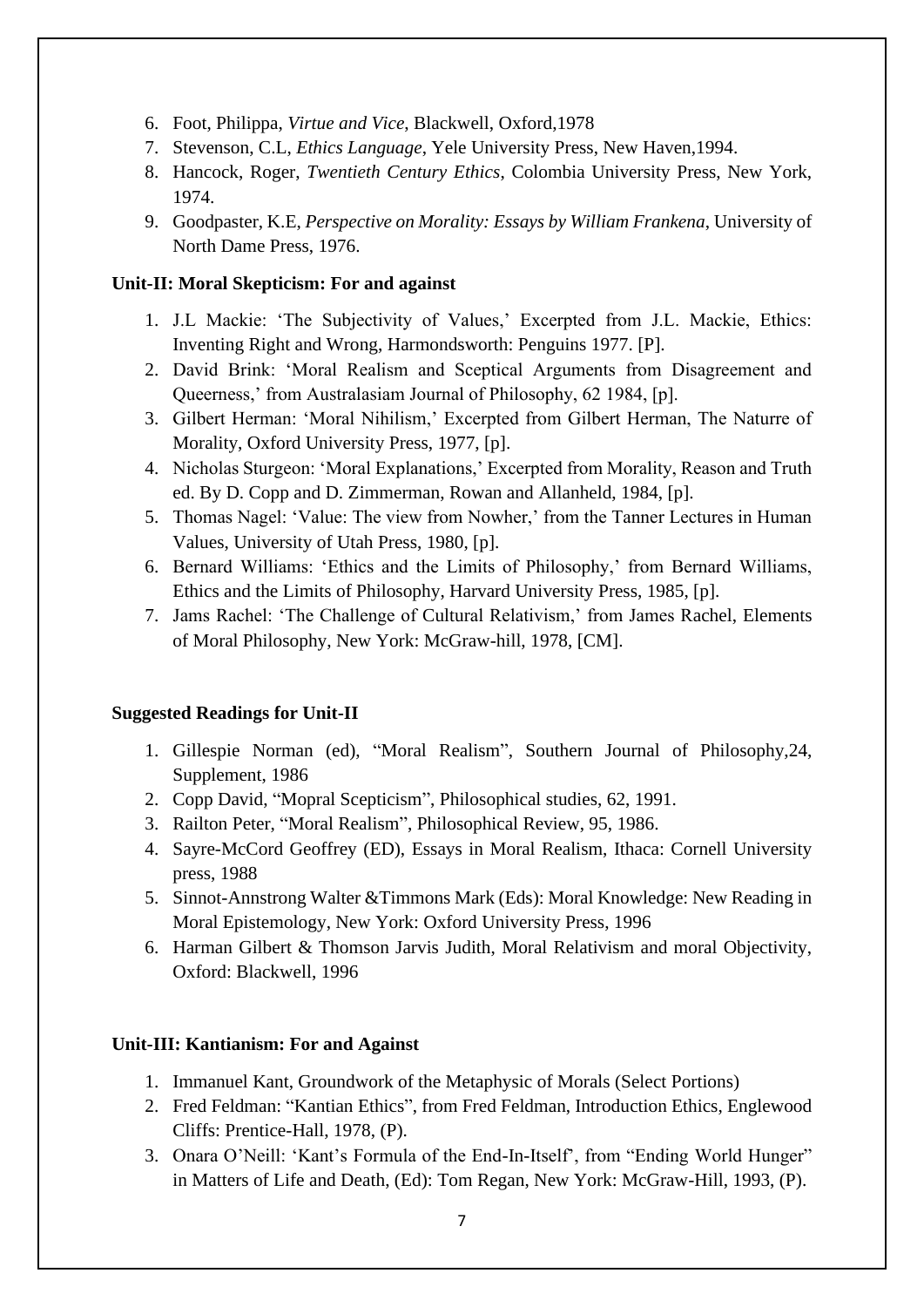- 6. Foot, Philippa, *Virtue and Vice*, Blackwell, Oxford,1978
- 7. Stevenson, C.L, *Ethics Language*, Yele University Press, New Haven,1994.
- 8. Hancock, Roger, *Twentieth Century Ethics*, Colombia University Press, New York, 1974.
- 9. Goodpaster, K.E, *Perspective on Morality: Essays by William Frankena*, University of North Dame Press, 1976.

#### **Unit-II: Moral Skepticism: For and against**

- 1. J.L Mackie: 'The Subjectivity of Values,' Excerpted from J.L. Mackie, Ethics: Inventing Right and Wrong, Harmondsworth: Penguins 1977. [P].
- 2. David Brink: 'Moral Realism and Sceptical Arguments from Disagreement and Queerness,' from Australasiam Journal of Philosophy, 62 1984, [p].
- 3. Gilbert Herman: 'Moral Nihilism,' Excerpted from Gilbert Herman, The Naturre of Morality, Oxford University Press, 1977, [p].
- 4. Nicholas Sturgeon: 'Moral Explanations,' Excerpted from Morality, Reason and Truth ed. By D. Copp and D. Zimmerman, Rowan and Allanheld, 1984, [p].
- 5. Thomas Nagel: 'Value: The view from Nowher,' from the Tanner Lectures in Human Values, University of Utah Press, 1980, [p].
- 6. Bernard Williams: 'Ethics and the Limits of Philosophy,' from Bernard Williams, Ethics and the Limits of Philosophy, Harvard University Press, 1985, [p].
- 7. Jams Rachel: 'The Challenge of Cultural Relativism,' from James Rachel, Elements of Moral Philosophy, New York: McGraw-hill, 1978, [CM].

## **Suggested Readings for Unit-II**

- 1. Gillespie Norman (ed), "Moral Realism", Southern Journal of Philosophy,24, Supplement, 1986
- 2. Copp David, "Mopral Scepticism", Philosophical studies, 62, 1991.
- 3. Railton Peter, "Moral Realism", Philosophical Review, 95, 1986.
- 4. Sayre-McCord Geoffrey (ED), Essays in Moral Realism, Ithaca: Cornell University press, 1988
- 5. Sinnot-Annstrong Walter &Timmons Mark (Eds): Moral Knowledge: New Reading in Moral Epistemology, New York: Oxford University Press, 1996
- 6. Harman Gilbert & Thomson Jarvis Judith, Moral Relativism and moral Objectivity, Oxford: Blackwell, 1996

## **Unit-III: Kantianism: For and Against**

- 1. Immanuel Kant, Groundwork of the Metaphysic of Morals (Select Portions)
- 2. Fred Feldman: "Kantian Ethics", from Fred Feldman, Introduction Ethics, Englewood Cliffs: Prentice-Hall, 1978, (P).
- 3. Onara O'Neill: 'Kant's Formula of the End-In-Itself', from "Ending World Hunger" in Matters of Life and Death, (Ed): Tom Regan, New York: McGraw-Hill, 1993, (P).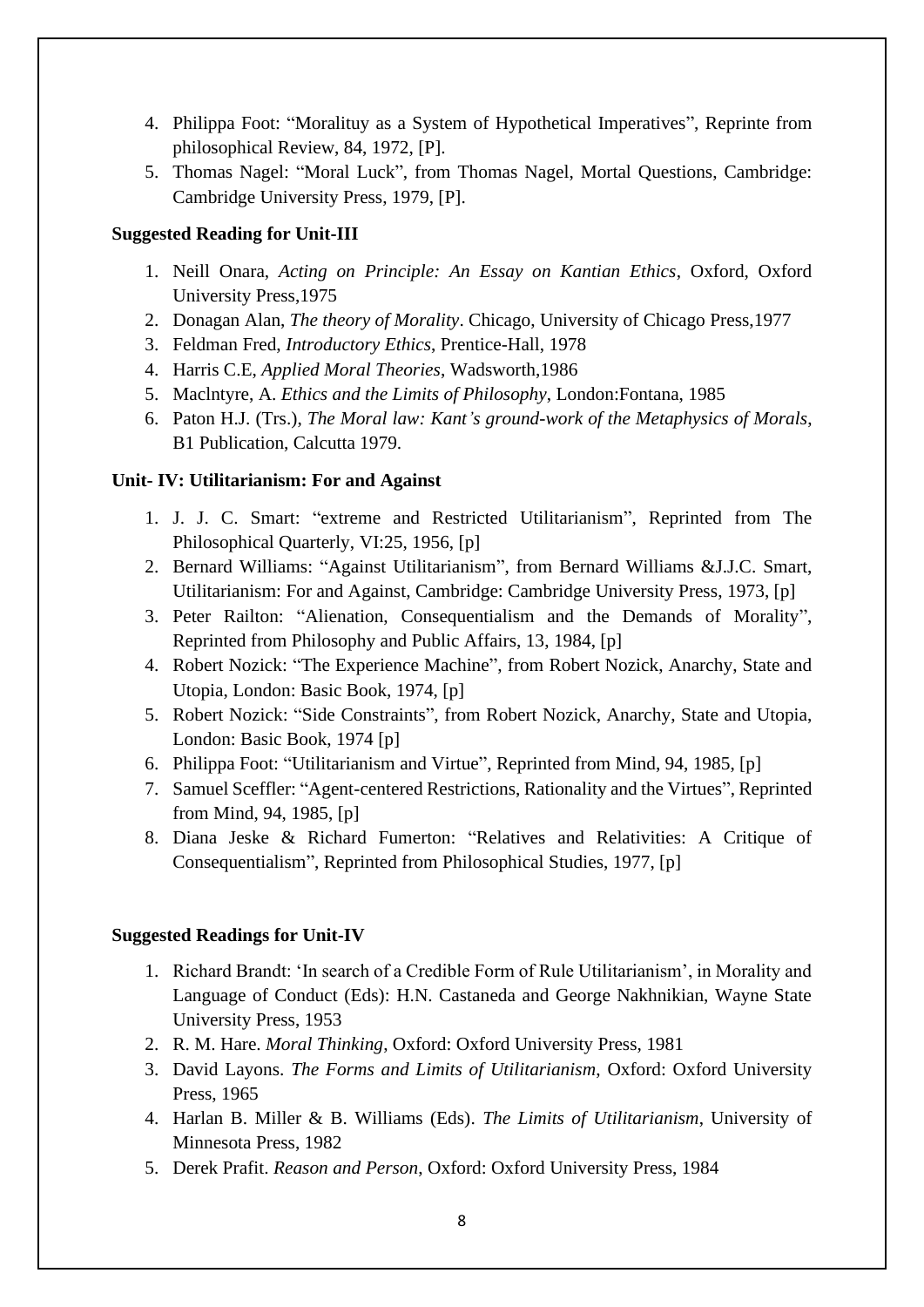- 4. Philippa Foot: "Moralituy as a System of Hypothetical Imperatives", Reprinte from philosophical Review, 84, 1972, [P].
- 5. Thomas Nagel: "Moral Luck", from Thomas Nagel, Mortal Questions, Cambridge: Cambridge University Press, 1979, [P].

## **Suggested Reading for Unit-III**

- 1. Neill Onara, *Acting on Principle: An Essay on Kantian Ethics*, Oxford, Oxford University Press,1975
- 2. Donagan Alan, *The theory of Morality*. Chicago, University of Chicago Press,1977
- 3. Feldman Fred, *Introductory Ethics*, Prentice-Hall, 1978
- 4. Harris C.E, *Applied Moral Theories*, Wadsworth,1986
- 5. Maclntyre, A. *Ethics and the Limits of Philosophy*, London:Fontana, 1985
- 6. Paton H.J. (Trs.), *The Moral law: Kant's ground-work of the Metaphysics of Morals*, B1 Publication, Calcutta 1979.

#### **Unit- IV: Utilitarianism: For and Against**

- 1. J. J. C. Smart: "extreme and Restricted Utilitarianism", Reprinted from The Philosophical Quarterly, VI:25, 1956, [p]
- 2. Bernard Williams: "Against Utilitarianism", from Bernard Williams &J.J.C. Smart, Utilitarianism: For and Against, Cambridge: Cambridge University Press, 1973, [p]
- 3. Peter Railton: "Alienation, Consequentialism and the Demands of Morality", Reprinted from Philosophy and Public Affairs, 13, 1984, [p]
- 4. Robert Nozick: "The Experience Machine", from Robert Nozick, Anarchy, State and Utopia, London: Basic Book, 1974, [p]
- 5. Robert Nozick: "Side Constraints", from Robert Nozick, Anarchy, State and Utopia, London: Basic Book, 1974 [p]
- 6. Philippa Foot: "Utilitarianism and Virtue", Reprinted from Mind, 94, 1985, [p]
- 7. Samuel Sceffler: "Agent-centered Restrictions, Rationality and the Virtues", Reprinted from Mind, 94, 1985, [p]
- 8. Diana Jeske & Richard Fumerton: "Relatives and Relativities: A Critique of Consequentialism", Reprinted from Philosophical Studies, 1977, [p]

#### **Suggested Readings for Unit-IV**

- 1. Richard Brandt: 'In search of a Credible Form of Rule Utilitarianism', in Morality and Language of Conduct (Eds): H.N. Castaneda and George Nakhnikian, Wayne State University Press, 1953
- 2. R. M. Hare. *Moral Thinking*, Oxford: Oxford University Press, 1981
- 3. David Layons. *The Forms and Limits of Utilitarianism*, Oxford: Oxford University Press, 1965
- 4. Harlan B. Miller & B. Williams (Eds). *The Limits of Utilitarianism*, University of Minnesota Press, 1982
- 5. Derek Prafit. *Reason and Person*, Oxford: Oxford University Press, 1984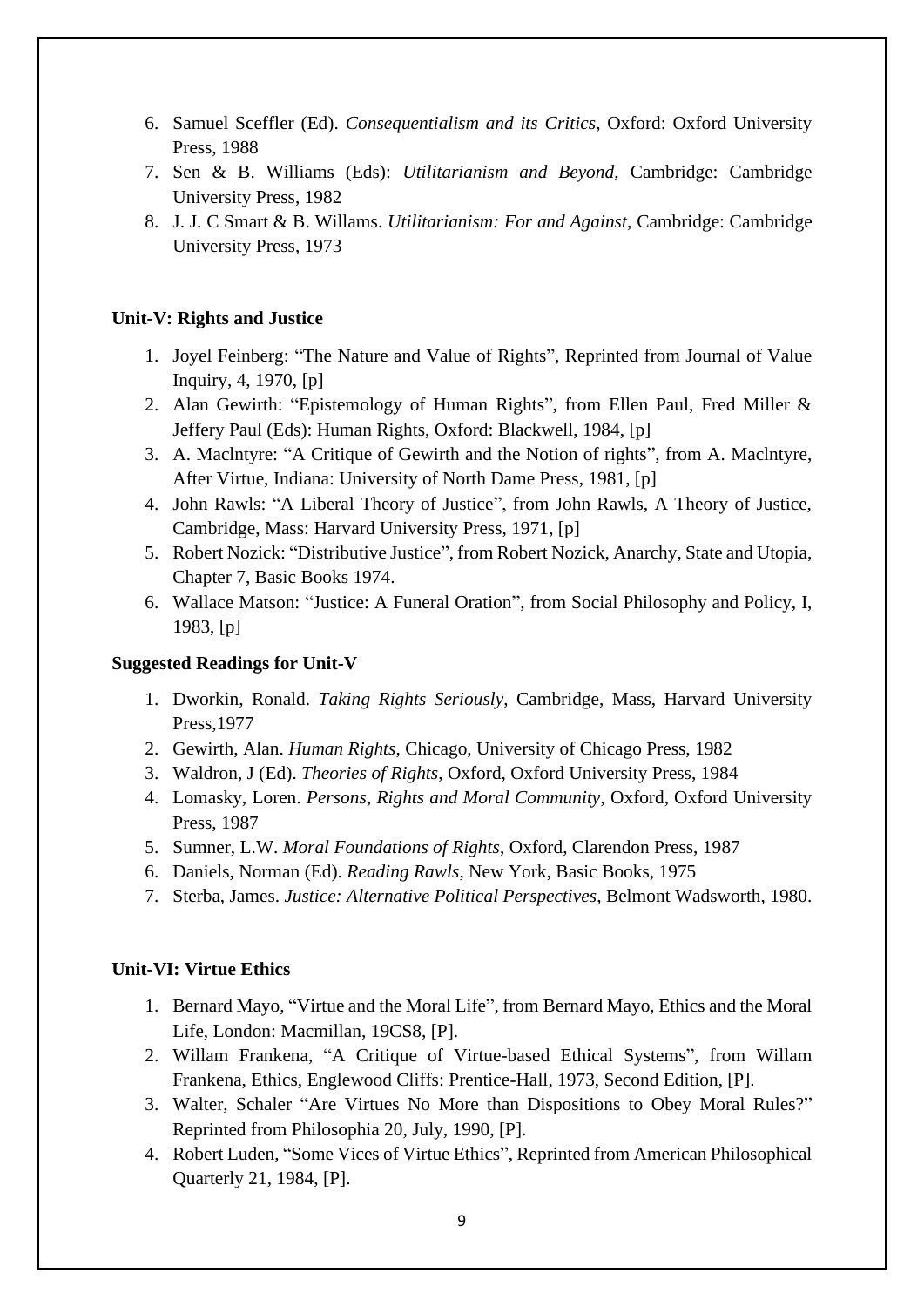- 6. Samuel Sceffler (Ed). *Consequentialism and its Critics*, Oxford: Oxford University Press, 1988
- 7. Sen & B. Williams (Eds): *Utilitarianism and Beyond*, Cambridge: Cambridge University Press, 1982
- 8. J. J. C Smart & B. Willams. *Utilitarianism: For and Against*, Cambridge: Cambridge University Press, 1973

#### **Unit-V: Rights and Justice**

- 1. Joyel Feinberg: "The Nature and Value of Rights", Reprinted from Journal of Value Inquiry, 4, 1970, [p]
- 2. Alan Gewirth: "Epistemology of Human Rights", from Ellen Paul, Fred Miller & Jeffery Paul (Eds): Human Rights, Oxford: Blackwell, 1984, [p]
- 3. A. Maclntyre: "A Critique of Gewirth and the Notion of rights", from A. Maclntyre, After Virtue, Indiana: University of North Dame Press, 1981, [p]
- 4. John Rawls: "A Liberal Theory of Justice", from John Rawls, A Theory of Justice, Cambridge, Mass: Harvard University Press, 1971, [p]
- 5. Robert Nozick: "Distributive Justice", from Robert Nozick, Anarchy, State and Utopia, Chapter 7, Basic Books 1974.
- 6. Wallace Matson: "Justice: A Funeral Oration", from Social Philosophy and Policy, I, 1983, [p]

#### **Suggested Readings for Unit-V**

- 1. Dworkin, Ronald. *Taking Rights Seriously*, Cambridge, Mass, Harvard University Press,1977
- 2. Gewirth, Alan. *Human Rights*, Chicago, University of Chicago Press, 1982
- 3. Waldron, J (Ed). *Theories of Rights*, Oxford, Oxford University Press, 1984
- 4. Lomasky, Loren. *Persons, Rights and Moral Community*, Oxford, Oxford University Press, 1987
- 5. Sumner, L.W. *Moral Foundations of Rights*, Oxford, Clarendon Press, 1987
- 6. Daniels, Norman (Ed). *Reading Rawls*, New York, Basic Books, 1975
- 7. Sterba, James. *Justice: Alternative Political Perspectives*, Belmont Wadsworth, 1980.

#### **Unit-VI: Virtue Ethics**

- 1. Bernard Mayo, "Virtue and the Moral Life", from Bernard Mayo, Ethics and the Moral Life, London: Macmillan, 19CS8, [P].
- 2. Willam Frankena, "A Critique of Virtue-based Ethical Systems", from Willam Frankena, Ethics, Englewood Cliffs: Prentice-Hall, 1973, Second Edition, [P].
- 3. Walter, Schaler "Are Virtues No More than Dispositions to Obey Moral Rules?" Reprinted from Philosophia 20, July, 1990, [P].
- 4. Robert Luden, "Some Vices of Virtue Ethics", Reprinted from American Philosophical Quarterly 21, 1984, [P].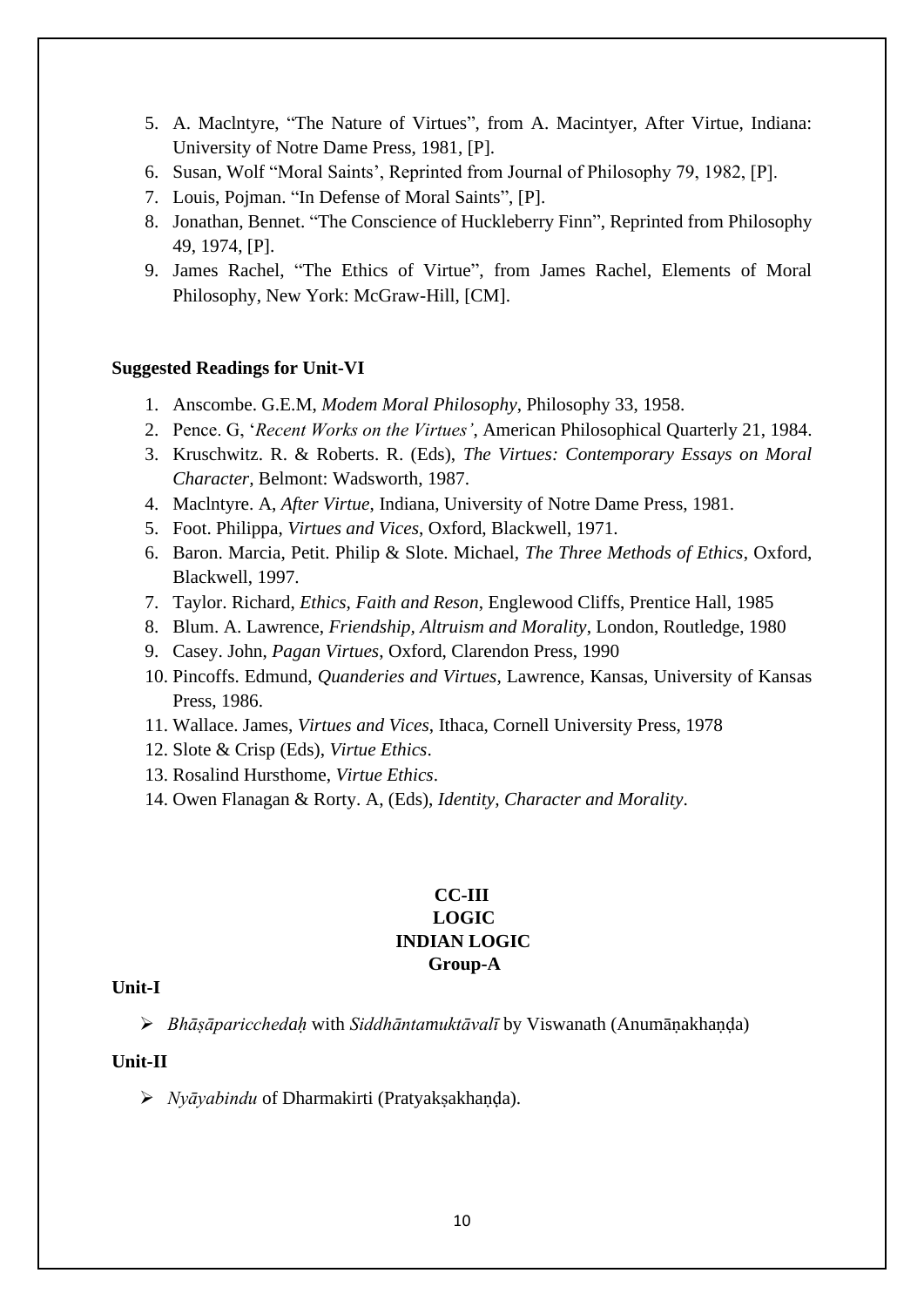- 5. A. Maclntyre, "The Nature of Virtues", from A. Macintyer, After Virtue, Indiana: University of Notre Dame Press, 1981, [P].
- 6. Susan, Wolf "Moral Saints', Reprinted from Journal of Philosophy 79, 1982, [P].
- 7. Louis, Pojman. "In Defense of Moral Saints", [P].
- 8. Jonathan, Bennet. "The Conscience of Huckleberry Finn", Reprinted from Philosophy 49, 1974, [P].
- 9. James Rachel, "The Ethics of Virtue", from James Rachel, Elements of Moral Philosophy, New York: McGraw-Hill, [CM].

#### **Suggested Readings for Unit-VI**

- 1. Anscombe. G.E.M, *Modem Moral Philosophy*, Philosophy 33, 1958.
- 2. Pence. G, '*Recent Works on the Virtues'*, American Philosophical Quarterly 21, 1984.
- 3. Kruschwitz. R. & Roberts. R. (Eds), *The Virtues: Contemporary Essays on Moral Character,* Belmont: Wadsworth, 1987.
- 4. Maclntyre. A, *After Virtue*, Indiana, University of Notre Dame Press, 1981.
- 5. Foot. Philippa, *Virtues and Vices*, Oxford, Blackwell, 1971.
- 6. Baron. Marcia, Petit. Philip & Slote. Michael, *The Three Methods of Ethics*, Oxford, Blackwell, 1997.
- 7. Taylor. Richard, *Ethics, Faith and Reson*, Englewood Cliffs, Prentice Hall, 1985
- 8. Blum. A. Lawrence, *Friendship, Altruism and Morality*, London, Routledge, 1980
- 9. Casey. John, *Pagan Virtues*, Oxford, Clarendon Press, 1990
- 10. Pincoffs. Edmund, *Quanderies and Virtues*, Lawrence, Kansas, University of Kansas Press, 1986.
- 11. Wallace. James, *Virtues and Vices*, Ithaca, Cornell University Press, 1978
- 12. Slote & Crisp (Eds), *Virtue Ethics*.
- 13. Rosalind Hursthome, *Virtue Ethics*.
- 14. Owen Flanagan & Rorty. A, (Eds), *Identity, Character and Morality*.

## **CC-III LOGIC INDIAN LOGIC Group-A**

#### **Unit-I**

➢ *Bhāṣāparicchedaḥ* with *Siddhāntamuktāvalī* by Viswanath (Anumāṇakhaṇḍa)

## **Unit-II**

➢ *Nyāyabindu* of Dharmakirti (Pratyakṣakhaṇḍa).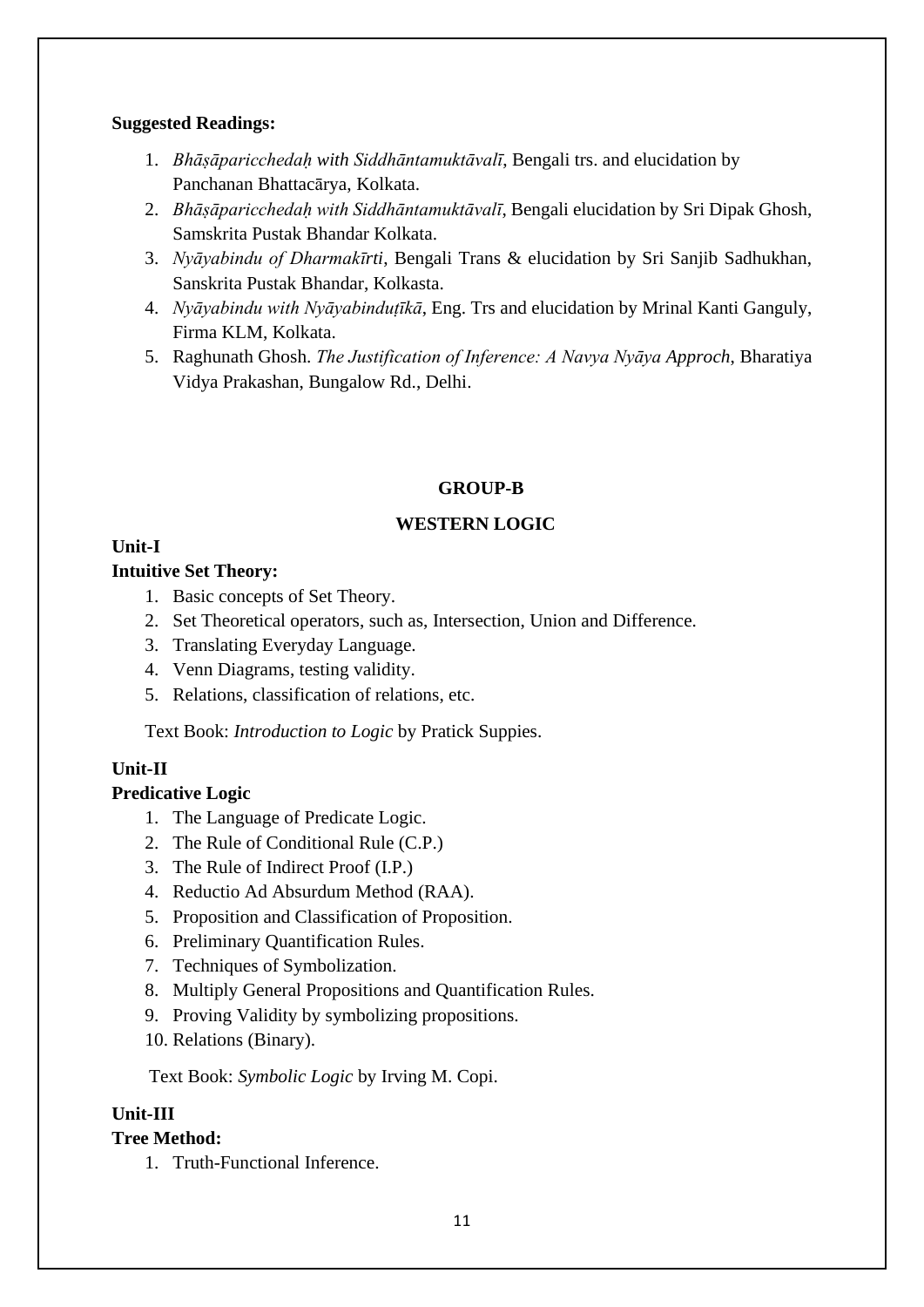## **Suggested Readings:**

- 1. *Bhāṣāparicchedaḥ with Siddhāntamuktāvalī*, Bengali trs. and elucidation by Panchanan Bhattacārya, Kolkata.
- 2. *Bhāṣāparicchedaḥ with Siddhāntamuktāvalī*, Bengali elucidation by Sri Dipak Ghosh, Samskrita Pustak Bhandar Kolkata.
- 3. *Nyāyabindu of Dharmakīrti*, Bengali Trans & elucidation by Sri Sanjib Sadhukhan, Sanskrita Pustak Bhandar, Kolkasta.
- 4. *Nyāyabindu with Nyāyabinduṭīkā*, Eng. Trs and elucidation by Mrinal Kanti Ganguly, Firma KLM, Kolkata.
- 5. Raghunath Ghosh. *The Justification of Inference: A Navya Nyāya Approch*, Bharatiya Vidya Prakashan, Bungalow Rd., Delhi.

## **GROUP-B**

## **WESTERN LOGIC**

## **Unit-I**

## **Intuitive Set Theory:**

- 1. Basic concepts of Set Theory.
- 2. Set Theoretical operators, such as, Intersection, Union and Difference.
- 3. Translating Everyday Language.
- 4. Venn Diagrams, testing validity.
- 5. Relations, classification of relations, etc.

Text Book: *Introduction to Logic* by Pratick Suppies.

## **Unit-II**

## **Predicative Logic**

- 1. The Language of Predicate Logic.
- 2. The Rule of Conditional Rule (C.P.)
- 3. The Rule of Indirect Proof (I.P.)
- 4. Reductio Ad Absurdum Method (RAA).
- 5. Proposition and Classification of Proposition.
- 6. Preliminary Quantification Rules.
- 7. Techniques of Symbolization.
- 8. Multiply General Propositions and Quantification Rules.
- 9. Proving Validity by symbolizing propositions.
- 10. Relations (Binary).

Text Book: *Symbolic Logic* by Irving M. Copi.

## **Unit-III**

## **Tree Method:**

1. Truth-Functional Inference.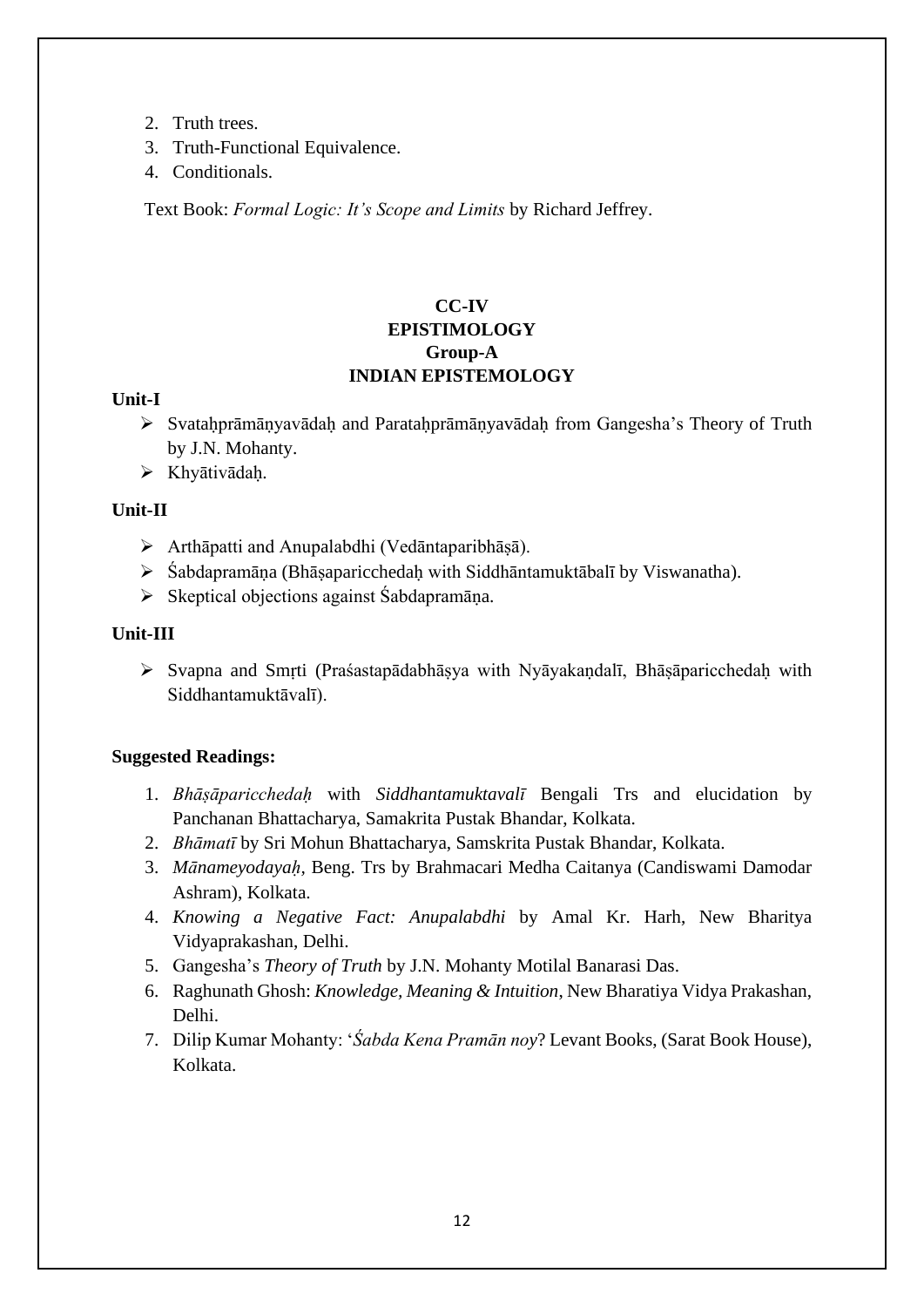- 2. Truth trees.
- 3. Truth-Functional Equivalence.
- 4. Conditionals.

Text Book: *Formal Logic: It's Scope and Limits* by Richard Jeffrey.

## **CC-IV EPISTIMOLOGY Group-A INDIAN EPISTEMOLOGY**

## **Unit-I**

- ➢ Svataḥprāmāṇyavādaḥ and Parataḥprāmāṇyavādaḥ from Gangesha's Theory of Truth by J.N. Mohanty.
- ➢ Khyātivādaḥ.

## **Unit-II**

- ➢ Arthāpatti and Anupalabdhi (Vedāntaparibhāṣā).
- ➢ Śabdapramāṇa (Bhāṣaparicchedaḥ with Siddhāntamuktābalī by Viswanatha).
- ➢ Skeptical objections against Śabdapramāṇa.

#### **Unit-III**

➢ Svapna and Smṛti (Praśastapādabhāṣya with Nyāyakaṇdalī, Bhāṣāparicchedaḥ with Siddhantamuktāvalī).

## **Suggested Readings:**

- 1. *Bhāṣāparicchedaḥ* with *Siddhantamuktavalī* Bengali Trs and elucidation by Panchanan Bhattacharya, Samakrita Pustak Bhandar, Kolkata.
- 2. *Bhāmatī* by Sri Mohun Bhattacharya, Samskrita Pustak Bhandar, Kolkata.
- 3. *Mānameyodayaḥ,* Beng. Trs by Brahmacari Medha Caitanya (Candiswami Damodar Ashram), Kolkata.
- 4. *Knowing a Negative Fact: Anupalabdhi* by Amal Kr. Harh, New Bharitya Vidyaprakashan, Delhi.
- 5. Gangesha's *Theory of Truth* by J.N. Mohanty Motilal Banarasi Das.
- 6. Raghunath Ghosh: *Knowledge, Meaning & Intuition*, New Bharatiya Vidya Prakashan, Delhi.
- 7. Dilip Kumar Mohanty: '*Śabda Kena Pramān noy*? Levant Books, (Sarat Book House), Kolkata.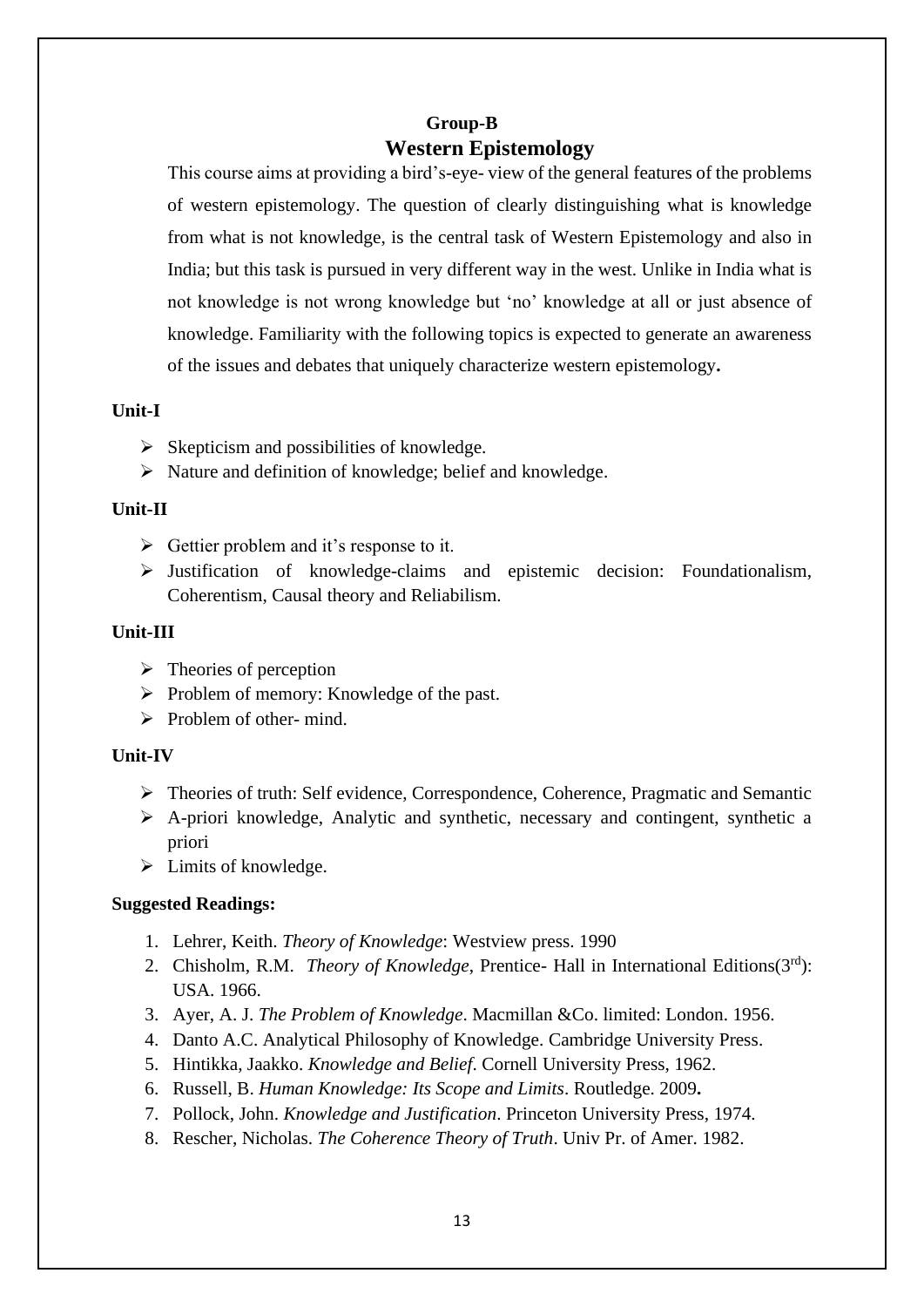## **Group-B Western Epistemology**

This course aims at providing a bird's-eye- view of the general features of the problems of western epistemology. The question of clearly distinguishing what is knowledge from what is not knowledge, is the central task of Western Epistemology and also in India; but this task is pursued in very different way in the west. Unlike in India what is not knowledge is not wrong knowledge but 'no' knowledge at all or just absence of knowledge. Familiarity with the following topics is expected to generate an awareness of the issues and debates that uniquely characterize western epistemology**.**

## **Unit-I**

- $\triangleright$  Skepticism and possibilities of knowledge.
- ➢ Nature and definition of knowledge; belief and knowledge.

## **Unit-II**

- $\triangleright$  Gettier problem and it's response to it.
- ➢ Justification of knowledge-claims and epistemic decision: Foundationalism, Coherentism, Causal theory and Reliabilism.

## **Unit-III**

- $\triangleright$  Theories of perception
- ➢ Problem of memory: Knowledge of the past.
- $\triangleright$  Problem of other- mind.

## **Unit-IV**

- ➢ Theories of truth: Self evidence, Correspondence, Coherence, Pragmatic and Semantic
- ➢ A-priori knowledge, Analytic and synthetic, necessary and contingent, synthetic a priori
- $\triangleright$  Limits of knowledge.

## **Suggested Readings:**

- 1. Lehrer, Keith. *Theory of Knowledge*: Westview press. 1990
- 2. Chisholm, R.M. *Theory of Knowledge*, Prentice- Hall in International Editions(3rd): USA. 1966.
- 3. Ayer, A. J. *The Problem of Knowledge*. Macmillan &Co. limited: London. 1956.
- 4. Danto A.C. Analytical Philosophy of Knowledge. Cambridge University Press.
- 5. Hintikka, Jaakko. *Knowledge and Belief*. Cornell University Press, 1962.
- 6. Russell, B. *Human Knowledge: Its Scope and Limits*. Routledge. 2009**.**
- 7. Pollock, John. *Knowledge and Justification*. Princeton University Press, 1974.
- 8. Rescher, Nicholas. *The Coherence Theory of Truth*. Univ Pr. of Amer. 1982.